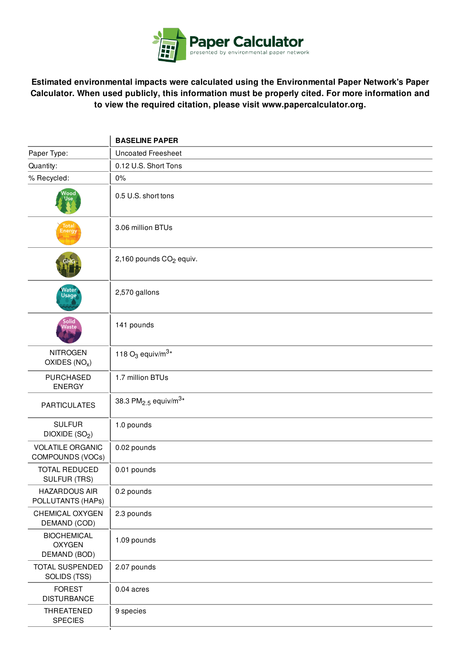

**Estimated environmental impacts were calculated using the Environmental Paper Network's Paper Calculator. When used publicly, this information must be properly cited. For more information and to view the required citation, please visit www.papercalculator.org.**

|                                                     | <b>BASELINE PAPER</b>                        |
|-----------------------------------------------------|----------------------------------------------|
| Paper Type:                                         | <b>Uncoated Freesheet</b>                    |
| Quantity:                                           | 0.12 U.S. Short Tons                         |
| % Recycled:                                         | 0%                                           |
| Vood<br>lse.                                        | 0.5 U.S. short tons                          |
| (Total)<br>Energy                                   | 3.06 million BTUs                            |
|                                                     | 2,160 pounds CO <sub>2</sub> equiv.          |
| Water<br>Usage                                      | 2,570 gallons                                |
| Solid<br>Naste                                      | 141 pounds                                   |
| <b>NITROGEN</b><br>OXIDES $(NOx)$                   | 118 $O_3$ equiv/m <sup>3*</sup>              |
| <b>PURCHASED</b><br><b>ENERGY</b>                   | 1.7 million BTUs                             |
| <b>PARTICULATES</b>                                 | 38.3 PM <sub>2.5</sub> equiv/m <sup>3*</sup> |
| <b>SULFUR</b><br>DIOXIDE (SO <sub>2</sub> )         | 1.0 pounds                                   |
| <b>VOLATILE ORGANIC</b><br>COMPOUNDS (VOCs)         | 0.02 pounds                                  |
| <b>TOTAL REDUCED</b><br><b>SULFUR (TRS)</b>         | 0.01 pounds                                  |
| <b>HAZARDOUS AIR</b><br>POLLUTANTS (HAPs)           | 0.2 pounds                                   |
| CHEMICAL OXYGEN<br>DEMAND (COD)                     | 2.3 pounds                                   |
| <b>BIOCHEMICAL</b><br><b>OXYGEN</b><br>DEMAND (BOD) | 1.09 pounds                                  |
| TOTAL SUSPENDED<br>SOLIDS (TSS)                     | 2.07 pounds                                  |
| <b>FOREST</b><br><b>DISTURBANCE</b>                 | $0.04$ acres                                 |
| THREATENED<br><b>SPECIES</b>                        | 9 species                                    |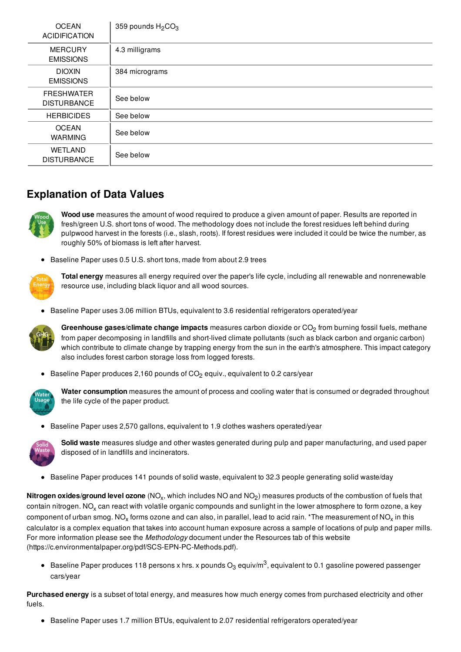| <b>OCEAN</b><br><b>ACIDIFICATION</b>    | 359 pounds $H_2CO_3$ |
|-----------------------------------------|----------------------|
| <b>MERCURY</b><br><b>EMISSIONS</b>      | 4.3 milligrams       |
| <b>DIOXIN</b><br><b>EMISSIONS</b>       | 384 micrograms       |
| <b>FRESHWATER</b><br><b>DISTURBANCE</b> | See below            |
| <b>HERBICIDES</b>                       | See below            |
| <b>OCEAN</b><br><b>WARMING</b>          | See below            |
| WETLAND<br><b>DISTURBANCE</b>           | See below            |

## **Explanation of Data Values**



**Wood use** measures the amount of wood required to produce a given amount of paper. Results are reported in fresh/green U.S. short tons of wood. The methodology does not include the forest residues left behind during pulpwood harvest in the forests (i.e., slash, roots). If forest residues were included it could be twice the number, as roughly 50% of biomass is left after harvest.

• Baseline Paper uses 0.5 U.S. short tons, made from about 2.9 trees



**Total energy** measures all energy required over the paper's life cycle, including all renewable and nonrenewable resource use, including black liquor and all wood sources.

**Baseline Paper uses 3.06 million BTUs, equivalent to 3.6 residential refrigerators operated/year** 



**Greenhouse gases/climate change impacts** measures carbon dioxide or CO<sub>2</sub> from burning fossil fuels, methane from paper decomposing in landfills and short-lived climate pollutants (such as black carbon and organic carbon) which contribute to climate change by trapping energy from the sun in the earth's atmosphere. This impact category also includes forest carbon storage loss from logged forests.

**Baseline Paper produces 2,160 pounds of CO<sub>2</sub> equiv., equivalent to 0.2 cars/year** 



**Water consumption** measures the amount of process and cooling water that is consumed or degraded throughout the life cycle of the paper product.

**Baseline Paper uses 2,570 gallons, equivalent to 1.9 clothes washers operated/year** 



**Solid waste** measures sludge and other wastes generated during pulp and paper manufacturing, and used paper disposed of in landfills and incinerators.

Baseline Paper produces 141 pounds of solid waste, equivalent to 32.3 people generating solid waste/day

 $N$ it**rogen oxides/ground level ozone** (NO<sub>x</sub>, which includes NO and NO<sub>2</sub>) measures products of the combustion of fuels that contain nitrogen. NO<sub>x</sub> can react with volatile organic compounds and sunlight in the lower atmosphere to form ozone, a key component of urban smog. NO<sub>x</sub> forms ozone and can also, in parallel, lead to acid rain. \*The measurement of NO<sub>x</sub> in this calculator is a complex equation that takes into account human exposure across a sample of locations of pulp and paper mills. For more information please see the *Methodology* document under the Resources tab of this website (https://c.environmentalpaper.org/pdf/SCS-EPN-PC-Methods.pdf).

Baseline Paper produces 118 persons x hrs. x pounds  $\rm O_3$  equiv/m $^3$ , equivalent to 0.1 gasoline powered passenger cars/year

**Purchased energy** is a subset of total energy, and measures how much energy comes from purchased electricity and other fuels.

**Baseline Paper uses 1.7 million BTUs, equivalent to 2.07 residential refrigerators operated/year**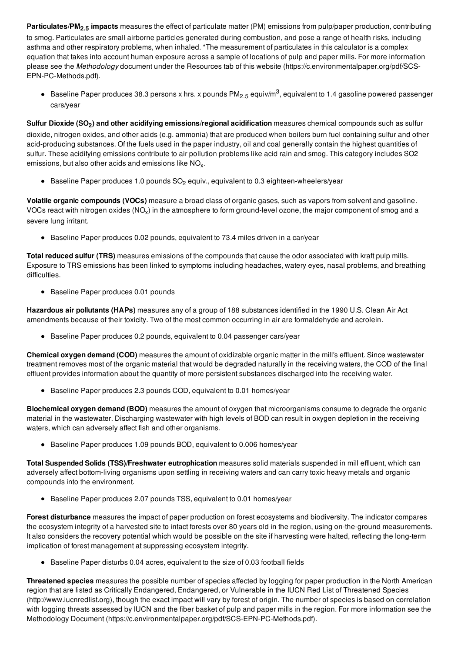**Particulates/PM2.5 impacts** measures the effect of particulate matter (PM) emissions from pulp/paper production, contributing

to smog. Particulates are small airborne particles generated during combustion, and pose a range of health risks, including asthma and other respiratory problems, when inhaled. \*The measurement of particulates in this calculator is a complex equation that takes into account human exposure across a sample of locations of pulp and paper mills. For more information please see the *Methodology* document under the Resources tab of this website (https://c.environmentalpaper.org/pdf/SCS-EPN-PC-Methods.pdf).

Baseline Paper produces 38.3 persons x hrs. x pounds PM<sub>2.5</sub> equiv/m<sup>3</sup>, equivalent to 1.4 gasoline powered passenger cars/year

**Sulfur Dioxide (SO<sup>2</sup> ) and other acidifying emissions/regional acidification** measures chemical compounds such as sulfur dioxide, nitrogen oxides, and other acids (e.g. ammonia) that are produced when boilers burn fuel containing sulfur and other acid-producing substances. Of the fuels used in the paper industry, oil and coal generally contain the highest quantities of sulfur. These acidifying emissions contribute to air pollution problems like acid rain and smog. This category includes SO2 emissions, but also other acids and emissions like  $\mathsf{NO}_{\mathsf{x}}\text{.}$ 

**Baseline Paper produces 1.0 pounds**  $SO<sub>2</sub>$  **equiv., equivalent to 0.3 eighteen-wheelers/year** 

**Volatile organic compounds (VOCs)** measure a broad class of organic gases, such as vapors from solvent and gasoline. VOCs react with nitrogen oxides (NO<sub>x</sub>) in the atmosphere to form ground-level ozone, the major component of smog and a severe lung irritant.

**Baseline Paper produces 0.02 pounds, equivalent to 73.4 miles driven in a car/year** 

**Total reduced sulfur (TRS)** measures emissions of the compounds that cause the odor associated with kraft pulp mills. Exposure to TRS emissions has been linked to symptoms including headaches, watery eyes, nasal problems, and breathing difficulties.

Baseline Paper produces 0.01 pounds

**Hazardous air pollutants (HAPs)** measures any of a group of 188 substances identified in the 1990 U.S. Clean Air Act amendments because of their toxicity. Two of the most common occurring in air are formaldehyde and acrolein.

 $\bullet$  Baseline Paper produces 0.2 pounds, equivalent to 0.04 passenger cars/year

**Chemical oxygen demand (COD)** measures the amount of oxidizable organic matter in the mill's effluent. Since wastewater treatment removes most of the organic material that would be degraded naturally in the receiving waters, the COD of the final effluent provides information about the quantity of more persistent substances discharged into the receiving water.

Baseline Paper produces 2.3 pounds COD, equivalent to 0.01 homes/year

**Biochemical oxygen demand (BOD)** measures the amount of oxygen that microorganisms consume to degrade the organic material in the wastewater. Discharging wastewater with high levels of BOD can result in oxygen depletion in the receiving waters, which can adversely affect fish and other organisms.

Baseline Paper produces 1.09 pounds BOD, equivalent to 0.006 homes/year

**Total Suspended Solids (TSS)/Freshwater eutrophication** measures solid materials suspended in mill effluent, which can adversely affect bottom-living organisms upon settling in receiving waters and can carry toxic heavy metals and organic compounds into the environment.

Baseline Paper produces 2.07 pounds TSS, equivalent to 0.01 homes/year

**Forest disturbance** measures the impact of paper production on forest ecosystems and biodiversity. The indicator compares the ecosystem integrity of a harvested site to intact forests over 80 years old in the region, using on-the-ground measurements. It also considers the recovery potential which would be possible on the site if harvesting were halted, reflecting the long-term implication of forest management at suppressing ecosystem integrity.

Baseline Paper disturbs 0.04 acres, equivalent to the size of 0.03 football fields

**Threatened species** measures the possible number of species affected by logging for paper production in the North American region that are listed as Critically Endangered, Endangered, or Vulnerable in the IUCN Red List of Threatened Species (http://www.iucnredlist.org), though the exact impact will vary by forest of origin. The number of species is based on correlation with logging threats assessed by IUCN and the fiber basket of pulp and paper mills in the region. For more information see the Methodology Document (https://c.environmentalpaper.org/pdf/SCS-EPN-PC-Methods.pdf).